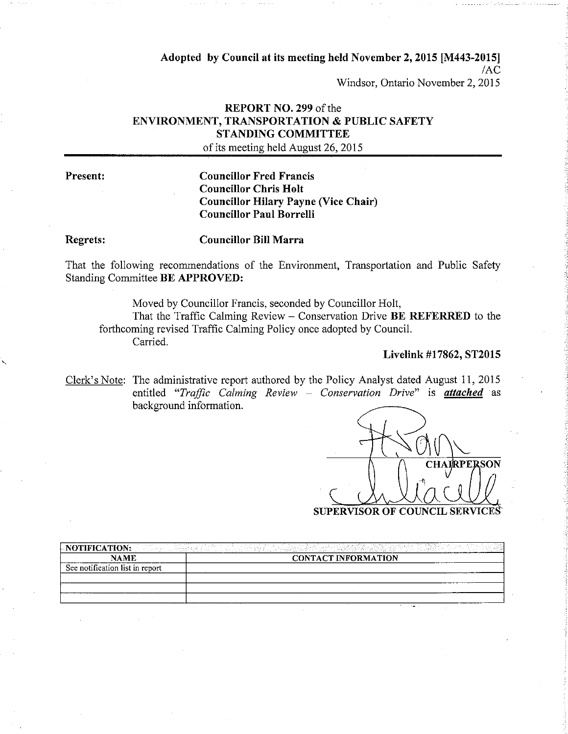Adopted by Council at its meeting held November 2, 2015 [M443-2015] /AC Windsor, Ontario November 2,2015

# REPORT NO.299 of the ENVIRONMENT, TRANSPORTATION & PUBLIC SAFETY STANDING COMMITTEE

of its meeting held August 26, 2015

Present:

## Councillor Fred Francis Councillor Chris Holt Councillor Hilary Payne (Vice Chair) Councillor Paul Borrelli

### Regrets:

Councillor Bill Marra

That the following recommendations of the Environment, Transportation and Public Safety Standing Committee BE APPROVED:

Moved by Councillor Francis, seconded by Councillor Holt, That the Traffic Calming Review – Conservation Drive BE REFERRED to the forthcoming revised Traffic Calming Policy once adopted by Council. Carried.

### Livelink #17862, ST2015

Clerk's Note: The administrative report authored by the Policy Analyst dated August 11, 2015 entitled "Traffic Calming Review - Conservation Drive" is **attached** as background information.

CHAIRPERSON SUPERVISOR OF COUNCIL SERVICES

| NOTIFICATION:<br>.<br>이 동료 '. 합니까?<br>and a state of the |                            |  |  |  |
|----------------------------------------------------------|----------------------------|--|--|--|
| <b>NAME</b>                                              | <b>CONTACT INFORMATION</b> |  |  |  |
| See notification list in report                          |                            |  |  |  |
|                                                          |                            |  |  |  |
|                                                          |                            |  |  |  |
|                                                          |                            |  |  |  |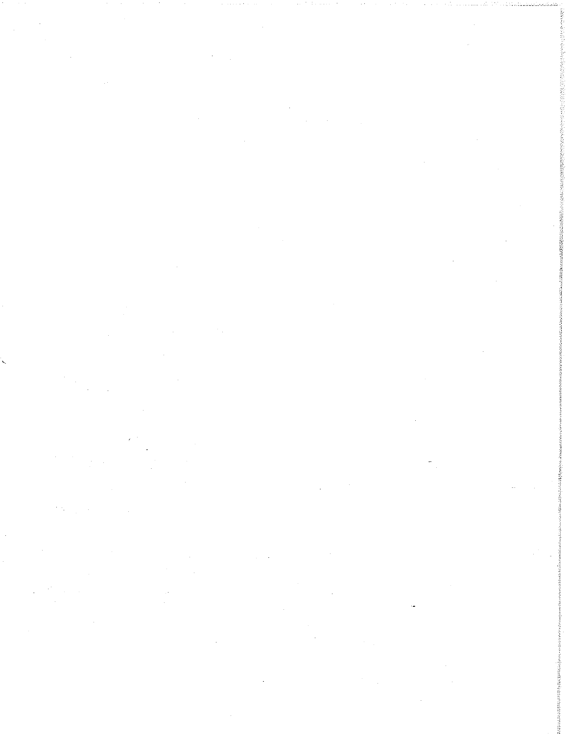$\label{eq:2} \frac{1}{\sqrt{2}}\left(\frac{1}{\sqrt{2}}\right)^{2} \left(\frac{1}{\sqrt{2}}\right)^{2} \left(\frac{1}{\sqrt{2}}\right)^{2} \left(\frac{1}{\sqrt{2}}\right)^{2} \left(\frac{1}{\sqrt{2}}\right)^{2} \left(\frac{1}{\sqrt{2}}\right)^{2} \left(\frac{1}{\sqrt{2}}\right)^{2} \left(\frac{1}{\sqrt{2}}\right)^{2} \left(\frac{1}{\sqrt{2}}\right)^{2} \left(\frac{1}{\sqrt{2}}\right)^{2} \left(\frac{1}{\sqrt{2}}\right)^{2} \left(\frac{$ 

アポイルが上がったのかのいたが、私が地域の状態のようなので、その内容があるほどのは体操の場合のなりは、対処のはははは、このことができない。

 $\frac{1}{2} \frac{d^2 \phi}{d\phi^2}$ 

 $\mathcal{L}^{\text{max}}_{\text{max}}$ 

 $\label{eq:2.1} \frac{1}{\sqrt{2}}\sum_{i=1}^n\frac{1}{\sqrt{2}}\sum_{i=1}^n\frac{1}{\sqrt{2}}\sum_{i=1}^n\frac{1}{\sqrt{2}}\sum_{i=1}^n\frac{1}{\sqrt{2}}\sum_{i=1}^n\frac{1}{\sqrt{2}}\sum_{i=1}^n\frac{1}{\sqrt{2}}\sum_{i=1}^n\frac{1}{\sqrt{2}}\sum_{i=1}^n\frac{1}{\sqrt{2}}\sum_{i=1}^n\frac{1}{\sqrt{2}}\sum_{i=1}^n\frac{1}{\sqrt{2}}\sum_{i=1}^n\frac$ 

 $\label{eq:2.1} \frac{d\mathbf{r}}{d\mathbf{r}}\left(\mathbf{r}_{\mathrm{eff}}\right)=\frac{1}{2}\left(\mathbf{r}_{\mathrm{eff}}-\mathbf{r}_{\mathrm{eff}}\right)\mathbf{r}_{\mathrm{eff}}+\mathbf{r}_{\mathrm{eff}}\mathbf{r}_{\mathrm{eff}}\mathbf{r}_{\mathrm{eff}}\mathbf{r}_{\mathrm{eff}}\mathbf{r}_{\mathrm{eff}}\mathbf{r}_{\mathrm{eff}}\mathbf{r}_{\mathrm{eff}}\mathbf{r}_{\mathrm{eff}}\mathbf{r}_{\mathrm{eff}}\mathbf{r}_{\mathrm{eff}}\mathbf{r}_{\mathrm{eff}}\mathbf{r}_{\mathrm{eff}}\math$ 

 $\label{eq:2.1} \frac{1}{\sqrt{2}}\sum_{i=1}^n\frac{1}{\sqrt{2}}\sum_{i=1}^n\frac{1}{\sqrt{2}}\sum_{i=1}^n\frac{1}{\sqrt{2}}\sum_{i=1}^n\frac{1}{\sqrt{2}}\sum_{i=1}^n\frac{1}{\sqrt{2}}\sum_{i=1}^n\frac{1}{\sqrt{2}}\sum_{i=1}^n\frac{1}{\sqrt{2}}\sum_{i=1}^n\frac{1}{\sqrt{2}}\sum_{i=1}^n\frac{1}{\sqrt{2}}\sum_{i=1}^n\frac{1}{\sqrt{2}}\sum_{i=1}^n\frac$  $\label{eq:2.1} \frac{1}{\sqrt{2}}\int_{0}^{\infty}\frac{1}{\sqrt{2\pi}}\left(\frac{1}{\sqrt{2\pi}}\right)^{2}d\mu_{\rm{eff}}\,d\mu_{\rm{eff}}$  $\label{eq:2.1} \frac{1}{\sqrt{2}}\sum_{i=1}^n\frac{1}{\sqrt{2}}\sum_{i=1}^n\frac{1}{\sqrt{2}}\sum_{i=1}^n\frac{1}{\sqrt{2}}\sum_{i=1}^n\frac{1}{\sqrt{2}}\sum_{i=1}^n\frac{1}{\sqrt{2}}\sum_{i=1}^n\frac{1}{\sqrt{2}}\sum_{i=1}^n\frac{1}{\sqrt{2}}\sum_{i=1}^n\frac{1}{\sqrt{2}}\sum_{i=1}^n\frac{1}{\sqrt{2}}\sum_{i=1}^n\frac{1}{\sqrt{2}}\sum_{i=1}^n\frac$ 

 $\label{eq:2.1} \frac{d^2\mathbf{u}}{d\mathbf{v}}\left(\frac{\partial}{\partial\mathbf{v}}\right) = \frac{d^2\mathbf{v}}{d\mathbf{v}}\left(\frac{\partial}{\partial\mathbf{v}}\right) = \frac{d^2\mathbf{v}}{d\mathbf{v}}\,.$ 

 $\label{eq:2} \frac{1}{\sqrt{2}}\left(\frac{1}{\sqrt{2}}\right)^{2} \frac{1}{\sqrt{2}}\left(\frac{1}{\sqrt{2}}\right)^{2} \frac{1}{\sqrt{2}}\left(\frac{1}{\sqrt{2}}\right)^{2} \frac{1}{\sqrt{2}}\left(\frac{1}{\sqrt{2}}\right)^{2} \frac{1}{\sqrt{2}}\left(\frac{1}{\sqrt{2}}\right)^{2} \frac{1}{\sqrt{2}}\left(\frac{1}{\sqrt{2}}\right)^{2} \frac{1}{\sqrt{2}}\left(\frac{1}{\sqrt{2}}\right)^{2} \frac{1}{\sqrt{2}}\left(\frac{1}{$  $\label{eq:2.1} \frac{1}{\sqrt{2\pi}}\sum_{i=1}^n\frac{1}{\sqrt{2\pi}}\sum_{i=1}^n\frac{1}{\sqrt{2\pi}}\sum_{i=1}^n\frac{1}{\sqrt{2\pi}}\sum_{i=1}^n\frac{1}{\sqrt{2\pi}}\sum_{i=1}^n\frac{1}{\sqrt{2\pi}}\sum_{i=1}^n\frac{1}{\sqrt{2\pi}}\sum_{i=1}^n\frac{1}{\sqrt{2\pi}}\sum_{i=1}^n\frac{1}{\sqrt{2\pi}}\sum_{i=1}^n\frac{1}{\sqrt{2\pi}}\sum_{i=1}^n\$ 

 $\label{eq:2.1} \frac{1}{\sqrt{2}}\sum_{i=1}^n\frac{1}{\sqrt{2}}\sum_{i=1}^n\frac{1}{\sqrt{2}}\sum_{i=1}^n\frac{1}{\sqrt{2}}\sum_{i=1}^n\frac{1}{\sqrt{2}}\sum_{i=1}^n\frac{1}{\sqrt{2}}\sum_{i=1}^n\frac{1}{\sqrt{2}}\sum_{i=1}^n\frac{1}{\sqrt{2}}\sum_{i=1}^n\frac{1}{\sqrt{2}}\sum_{i=1}^n\frac{1}{\sqrt{2}}\sum_{i=1}^n\frac{1}{\sqrt{2}}\sum_{i=1}^n\frac$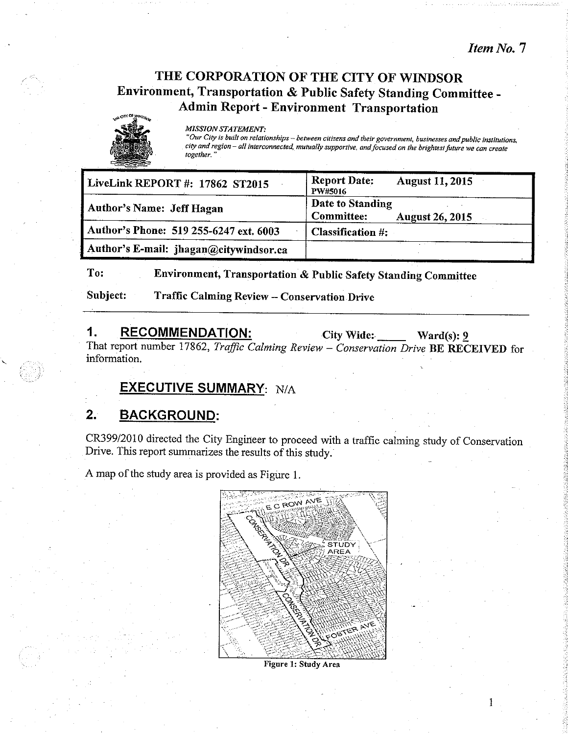1

# THE CORPORATION OF THE CITY OF WINDSOR Environment, Transportation & Public Safety Standing Committee -**Admin Report - Environment Transportation**



#### **MISSION STATEMENT:**

"Our City is built on relationships – between citizens and their government, businesses and public institutions, city and region - all interconnected, mutually supportive, and focused on the brightest future we can create together.

| LiveLink REPORT #: 17862 ST2015        | <b>Report Date:</b><br><b>August 11, 2015</b><br>PW#5016        |
|----------------------------------------|-----------------------------------------------------------------|
| Author's Name: Jeff Hagan              | Date to Standing<br><b>Committee:</b><br><b>August 26, 2015</b> |
| Author's Phone: 519 255-6247 ext. 6003 | <b>Classification #:</b>                                        |
| Author's E-mail: jhagan@citywindsor.ca |                                                                 |

#### Environment, Transportation & Public Safety Standing Committee To:

**Traffic Calming Review - Conservation Drive** Subject:

#### **RECOMMENDATION:** 1.

City Wide: Ward $(s)$ : 9

That report number 17862, Traffic Calming Review - Conservation Drive BE RECEIVED for information.

# **EXECUTIVE SUMMARY: N/A**

#### $2.$ **BACKGROUND:**

CR399/2010 directed the City Engineer to proceed with a traffic calming study of Conservation Drive. This report summarizes the results of this study.

A map of the study area is provided as Figure 1.



Figure 1: Study Area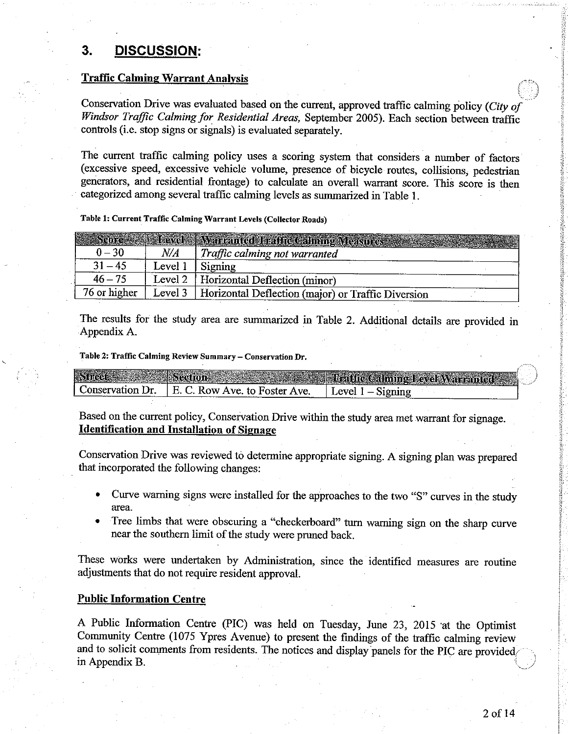# 3. DISGUSSION:

#### Traffic Calming Warrant Analysis

Conservation Drive was evaluated based on the current, approved traffic calming policy (City of Windsor Traffic Calming for Residential Areas, September 2005). Each section between traffic controls (i.e. stop signs or signals) is evaluated separately.

The current traffic calming policy uses a scoring system that considers a number of factors (excessive speed, excessive vehicle volume, presence of bicycle routes, collisions, pedestrian generators, and residential frontage) to calculate an overall warrant score. This score is then categorized among several traffrc calming levels as summarized in Table 1 .

Table 1: Current Traffic Calming Warrant Levels (Collector Roads)

|              |         | Score Level Warranted Iraffic Calming Measures     |
|--------------|---------|----------------------------------------------------|
| $0 - 30$     | N/A     | Traffic calming not warranted                      |
| $31 - 45$    | Level 1 | Signing                                            |
| $46 - 75$    | Level 2 | Horizontal Deflection (minor)                      |
| 76 or higher | Level 3 | Horizontal Deflection (major) or Traffic Diversion |

The results fot the study area are summarized in Table 2. Additional details are provided in Appendix A.

Table 2: Traffic Calming Review Summary - Conservation Dr.

| Street Section Section Traffic Calming Level Warranted                 |  |
|------------------------------------------------------------------------|--|
| Conservation Dr.   E. C. Row Ave. to Foster Ave.   Level $1 -$ Signing |  |
|                                                                        |  |

Based on the current policy, Conservation Drive within the study area met warrant for signage. **Identification and Installation of Signage** 

Conservation Drive was reviewed to determine appropriate signing. A signing plan was prepared that incorporated the following changes:

- . curve waming signs were installed for the approaches to the two "S" curves in the study area.
- Tree limbs that were obscuring a "checkerboard" turn warning sign on the sharp curve near the southern limit of the study were pruned back.

These works were undertaken by Administration, since the identified measures are routine adjustments that do not require resident approval,

#### Public Information Centre

A Public Information Centre (PIC) was held on Tuesday, June 23, 2015 at the Optimist Community Centre (1075 Ypres Avenue) to present the findings of the traffic calming review and to solicit comments from residents. The notices and display panels for the PIC are provided, in Appendix B.

:

I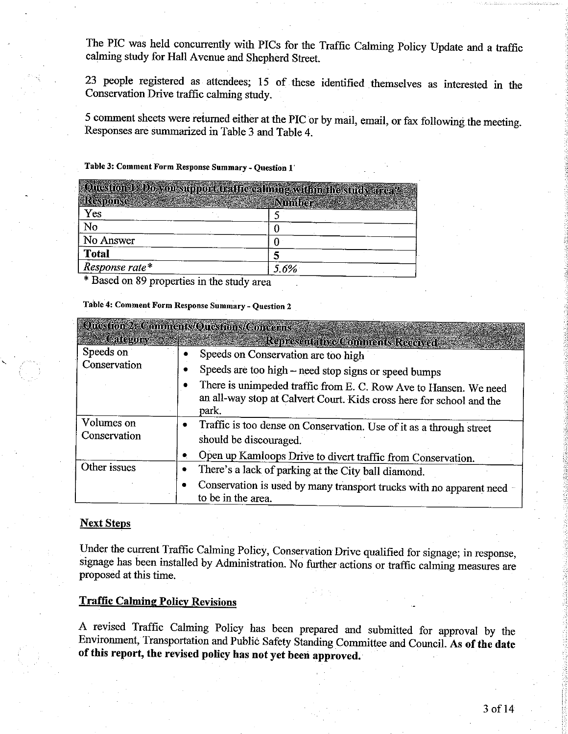The PIC was held concurrently with PICs for the Traffic calming policy update and a traffic calming study for Hall Avenue and Shepherd Street.

23 people registered as attendees; 15 of these identified themselves as interested in the Conservation Drive traffic calming study.

5 comment sheets were returned either at the PIC or by mail, email, or fax following the meeting. Responses are summarized in Table 3 and Table 4.

### Table 3: Comment Form Response Summary - Question 1'

|                 | Question 1: Do you support traffic calming within the study area? |
|-----------------|-------------------------------------------------------------------|
| <b>Response</b> | <b><i>State of Somber 2008</i></b>                                |
| Yes             |                                                                   |
| No              |                                                                   |
| No Answer       |                                                                   |
| <b>Total</b>    |                                                                   |
| Response rate*  | 5.6%                                                              |

\* Based on 89 properties in the study area

### Table 4: Comment Form Response Summary - Question 2

|                            | <b>Question 2: Comments/Questions/Concerns</b>                                                                                                    |
|----------------------------|---------------------------------------------------------------------------------------------------------------------------------------------------|
| Calegnay                   | Representative Comments Received                                                                                                                  |
| Speeds on                  | Speeds on Conservation are too high                                                                                                               |
| Conservation               | Speeds are too high - need stop signs or speed bumps                                                                                              |
|                            | There is unimpeded traffic from E. C. Row Ave to Hansen. We need<br>an all-way stop at Calvert Court. Kids cross here for school and the<br>park. |
| Volumes on<br>Conservation | Traffic is too dense on Conservation. Use of it as a through street<br>٠<br>should be discouraged.                                                |
|                            | Open up Kamloops Drive to divert traffic from Conservation.<br>۰                                                                                  |
| Other issues               | There's a lack of parking at the City ball diamond.                                                                                               |
|                            | Conservation is used by many transport trucks with no apparent need -<br>to be in the area.                                                       |

#### **Next Steps**

Under the current Traffic Calming Policy, Conservation Drive qualified for signage; in response, signage has been installed by Administration. No further actions or traffic calming measures are proposed at this time.

#### **Traffic Calming Policy Revisions**

A revised Traffic Calming Policy has been prepared and submitted for approval by the Environment, Transportation and Public Safety Standing Committee and Council. As of the date of this report, the revised policy has not yet been approved.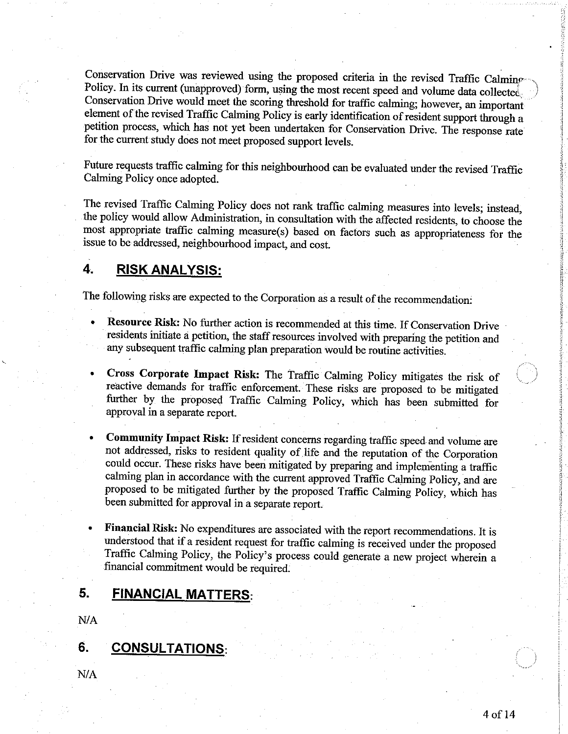Conservation Drive was reviewed using the proposed criteria in the revised Traffic Calming Policy. In its current (unapproved) form, using the most recent speed and volume data collected Conservation Drive would meet the scoring threshold for traffic calming; however, an important element of the revised Traffic Calming Policy is early identification of resident support through a petition process, which has not yet been undertaken for Conservation Drive. The response rate for the current study does not meet proposed support levels.

Future requests traffic calming for this neighbourhood can be evaluated under the revised Trafhc Calming Policy once adopted.

The revised Traffic Calming Policy does not rank traffic calming measures into levels; instead, the policy would allow Administration, in consultation with the affected residents, to choose the most appropriate traffic calming measure(s) based on factors such as appropriateness for the issue to be addressed, neighbourhood impact, and cost.

# 4. RISKANALYSIS:

The following risks are expected to the corporation as a result of the recommendatìon:

- Resource Risk: No further action is recommended at this time. If Conservation Drive residents initiate d petition, the staff resources involved with preparing the petition and any subsequent traffic calming plan preparation would be routinê activities.
- Cross Corporate Impact Risk: The Traffic Calming Policy mitigates the risk of reactive demands for traffic enforcement. These risks are proposed to be mitigated further by the proposed Traffic Calming Policy, which has been submitted for approval in a separate report
- Community Impact Risk: If resident concerns regarding traffic speed and volume are not addressed, risks to resident quality of life and the reputation of the Corporation could occur. These risks have been mitigated by preparing and implementing a traffic calming plan in accordance with the current approved Traffic Calming Policy, and are proposed to be mitigated further by the proposed Traffic Calming Policy, which has been submitted for approval in a separate report.
- . Financial Risk: No expenditures are associated with the report recommendations. It is understood that if a resident request for traffic calming is received under the proposed Traffic Calming Policy, the Policy's process could generate a new project wherein a financial commitment would be required.

# 5. FINANCIAL MATTERS:

N/A

# 6. CONSULTATIONS:

N/A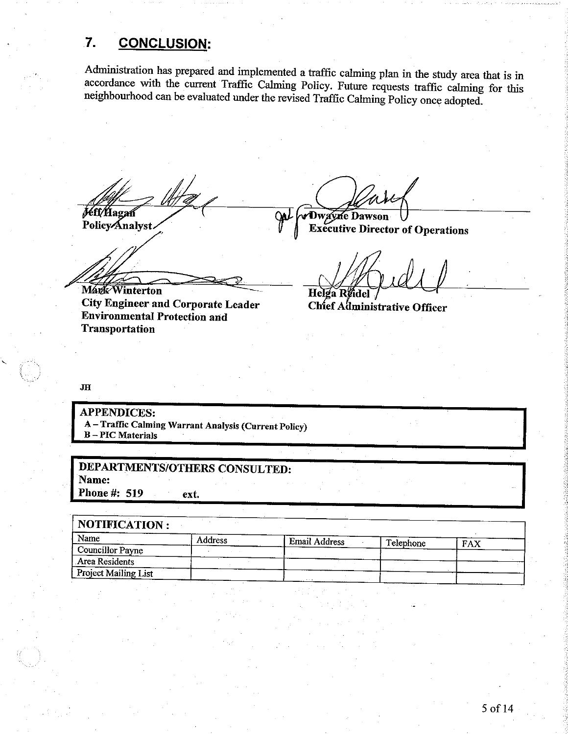#### $\overline{7}$ . **CONCLUSION:**

Administration has prepared and implemented a traffic calming plan in the study area that is in accordance with the current Traffic Calming Policy. Future requests traffic calming for this neighbourhood can be evaluated under the revised Traffic Calming Policy once adopted.

Jeff/Hagan Policy Analyst.

**vDwayne Dawson** 

**Executive Director of Operations** 

Mark Winterton

**City Engineer and Corporate Leader Environmental Protection and** Transportation

Helea Reidel **Chief Administrative Officer** 

#### JH

**APPENDICES:** A - Traffic Calming Warrant Analysis (Current Policy) **B-PIC Materials** 

DEPARTMENTS/OTHERS CONSULTED: Name:

Phone #: 519 ext.

| <b>NOTIFICATION:</b> |         |                      |           |     |
|----------------------|---------|----------------------|-----------|-----|
| Name                 | Address | <b>Email Address</b> | Telephone | FAX |
| Councillor Payne     |         |                      |           |     |
| Area Residents       |         |                      |           |     |
| Project Mailing List |         |                      |           |     |
|                      |         |                      |           |     |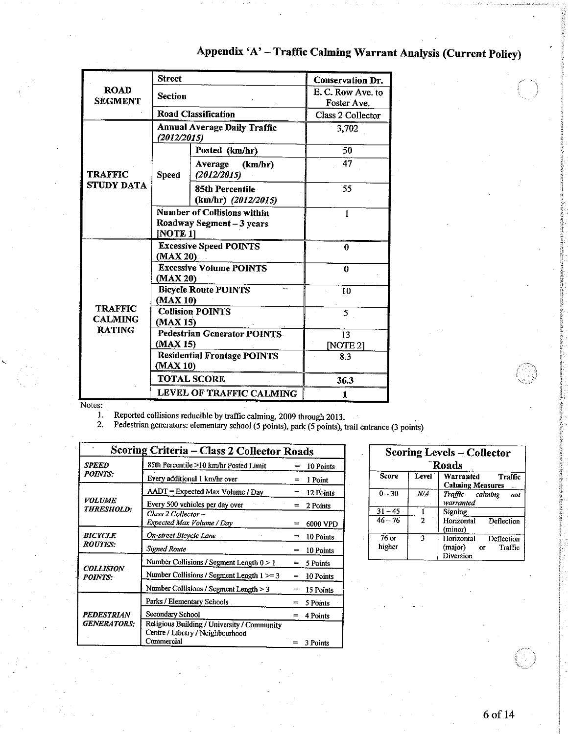|                                                   | <b>Street</b>                                                                      |                                               | <b>Conservation Dr.</b>                        |
|---------------------------------------------------|------------------------------------------------------------------------------------|-----------------------------------------------|------------------------------------------------|
| <b>ROAD</b><br><b>SECMENT</b>                     | Section                                                                            |                                               | $\overline{E}$ . C. Row Ave. to<br>Foster Ave. |
|                                                   |                                                                                    | <b>Road Classification</b>                    | Class 2 Collector                              |
|                                                   | (2012/2015)                                                                        | Annual Average Daily Traffic                  | 3,702                                          |
|                                                   |                                                                                    | Posted (km/hr)                                | 50                                             |
| <b>TRAFFIC</b>                                    | <b>Speed</b>                                                                       | Average<br>(km/hr)<br>(2012/2015)             | 47                                             |
| <b>STUDY DATA</b>                                 |                                                                                    | <b>85th Percentile</b><br>(km/hr) (2012/2015) | 55                                             |
|                                                   | <b>Number of Collisions within</b><br>Roadway Segment - 3 years<br><b>INOTE 11</b> |                                               | $\mathbf{I}$                                   |
|                                                   | <b>Excessive Speed POINTS</b><br>(MAX 20)                                          |                                               | 0                                              |
|                                                   | <b>Excessive Volume POINTS</b><br>(MAX 20)                                         |                                               | 0                                              |
|                                                   | <b>Bicycle Route POINTS</b><br>(MAX 10)                                            |                                               | 10                                             |
| <b>TRAFFIC</b><br><b>CALMING</b><br><b>RATING</b> | <b>Collision POINTS</b><br>(MAX 15)                                                |                                               | 5                                              |
|                                                   | <b>Pedestrian Generator POINTS</b><br>(MAX 15)                                     |                                               | 13<br>[NOTE 2]                                 |
|                                                   | <b>Residential Frontage POINTS</b><br>(MAX 10)                                     |                                               | 8.3                                            |
|                                                   | <b>TOTAL SCORE</b>                                                                 |                                               | 36.3                                           |
|                                                   |                                                                                    | LEVEL OF TRAFFIC CALMING                      | 1                                              |

# Appendix 'A' - Traffic Calming Warrant Analysis (Current Policy)

Notes:

Reported collisions reducible by traffic calming, 2009 through 2013.<br>Pedestrian generators: elementary school (5 points), park (5 points), trail entrance (3 points)  $\frac{1}{2}$ .

| Scoring Criteria - Class 2 Collector Roads |                                                                                               |     |           |  |
|--------------------------------------------|-----------------------------------------------------------------------------------------------|-----|-----------|--|
| <b>SPEED</b>                               | 85th Percentile >10 km/hr Posted Limit                                                        |     | 10 Points |  |
| <b>POINTS:</b>                             | Every additional 1 km/hr over                                                                 | =   | 1 Point   |  |
|                                            | AADT = Expected Max Volume / Day                                                              |     | 12 Points |  |
| <b>VOLUME</b><br><b>THRESHOLD:</b>         | Every 500 vehicles per day over                                                               | =   | 2 Points  |  |
|                                            | Class 2 Collector -<br>Expected Max Volume / Day                                              | =   | 6000 VPD  |  |
| <b>BICYCLE</b>                             | On-street Bicycle Lane                                                                        | ≂   | 10 Points |  |
| <i><b>ROUTES:</b></i>                      | Signed Route                                                                                  | $=$ | 10 Points |  |
|                                            | Number Collisions / Segment Length 0 > 1                                                      |     | 5 Points  |  |
| <b>COLLISION</b><br>POINTS:                | Number Collisions / Segment Length 1 >= 3                                                     | =   | 10 Points |  |
|                                            | Number Collisions / Segment Length > 3                                                        | =   | 15 Points |  |
| <b>PEDESTRIAN</b><br><b>GENERATORS:</b>    | Parks / Elementary Schools                                                                    | $=$ | 5 Points  |  |
|                                            | Secondary School                                                                              |     | 4 Points  |  |
|                                            | Religious Building / University / Community<br>Centre / Library / Neighbourhood<br>Commercial |     | 3 Points  |  |

| <b>Scoring Levels – Collector</b><br>Roads |       |                                                                   |  |  |
|--------------------------------------------|-------|-------------------------------------------------------------------|--|--|
| <b>Score</b>                               | Level | Warranted<br>Traffic<br><b>Calming Measures</b>                   |  |  |
| $0 - 30$                                   | N/A   | Traffic calming<br>not<br>warranted                               |  |  |
| $31 - 45$                                  |       | Signing                                                           |  |  |
| $46 - 76$                                  | 2     | Horizontal<br>Deflection<br>(minor)                               |  |  |
| 76 or<br>higher                            | 3     | Horizontal<br>Deflection<br>(major)<br>Traffic<br>or<br>Diversion |  |  |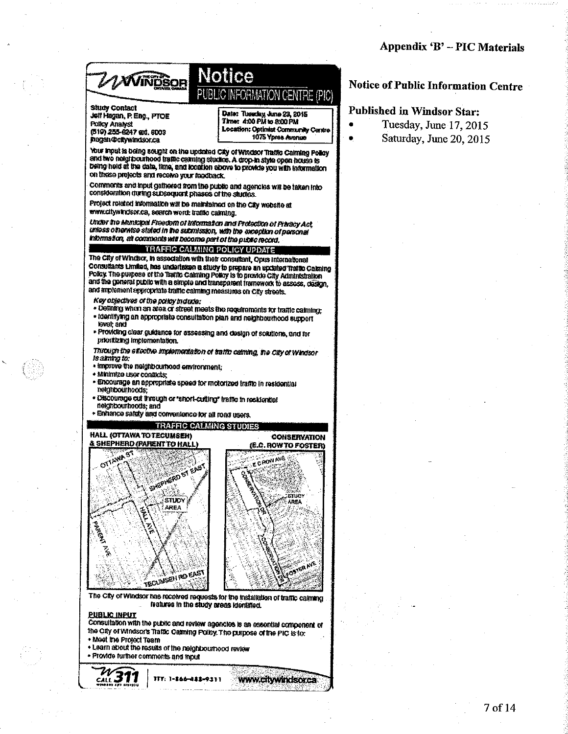

**Notice of Public Information Centre** 

- Tuesday, June 17, 2015
- Saturday, June 20, 2015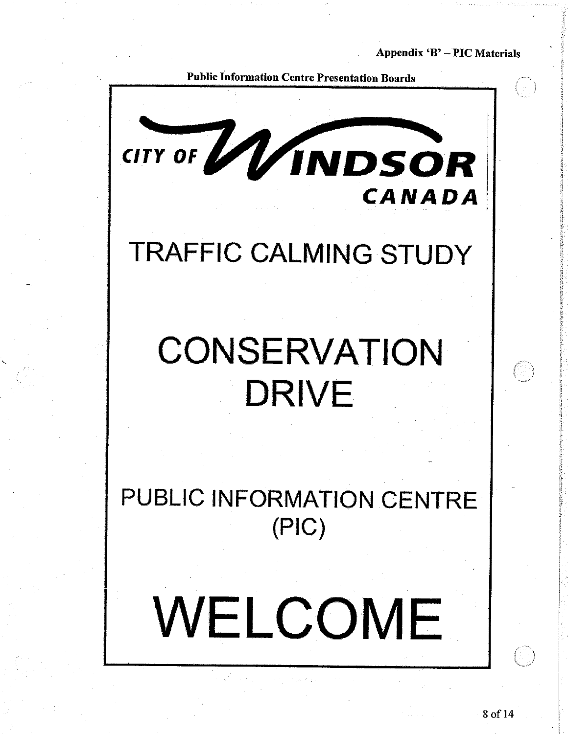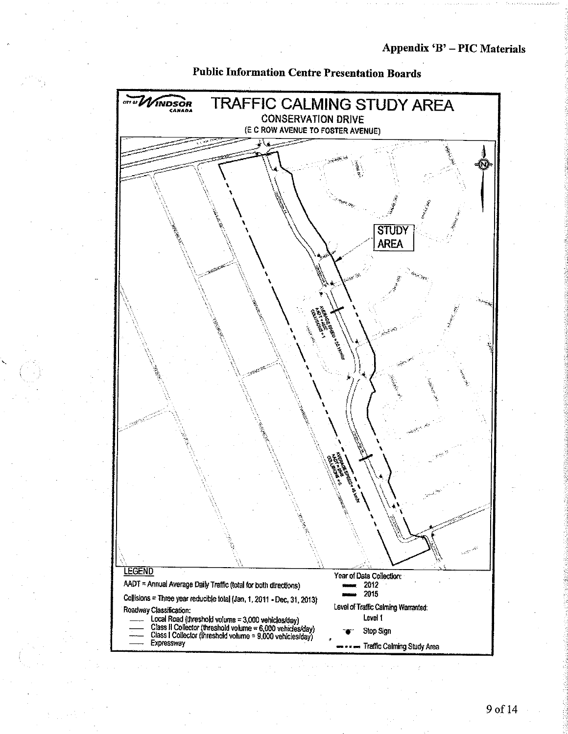

Public Information Centre Presentation Boards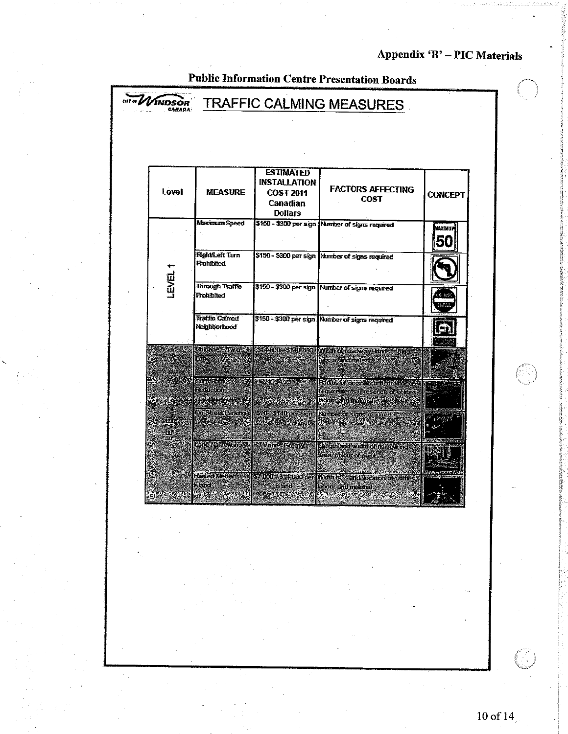| <b>GIT OF WINDSOR</b> |                                             |                                                                                                  | <b>TRAFFIC CALMING MEASURES</b>                                                               |                |
|-----------------------|---------------------------------------------|--------------------------------------------------------------------------------------------------|-----------------------------------------------------------------------------------------------|----------------|
| Level                 | <b>MEASURE</b>                              | <b>ESTIMATED</b><br><b>INSTALLATION</b><br><b>COST 2011</b><br><b>Canadian</b><br><b>Dollars</b> | <b>FACTORS AFFECTING</b><br><b>COST</b>                                                       | <b>CONCEPT</b> |
|                       | Maximum Speed                               |                                                                                                  | \$150 - \$300 per sign Number of signs required                                               | SAXIXUN<br>50  |
| <b>JEVEL</b>          | Right/Left Turn<br>Prohibited               |                                                                                                  | \$150 - \$300 per sign Number of signs required                                               |                |
|                       | <b>Through Traffic</b><br><b>Prohibited</b> |                                                                                                  | \$150 - \$300 per sign Number of signs required                                               |                |
|                       | <b>Traffic Calmed</b><br>Neighborhood       |                                                                                                  | \$150 - \$300 per sign   Number of signs required                                             |                |
|                       | <b>One new process</b><br>壁成                |                                                                                                  | AS ARTOD SAN DODO (WEDNER DE ANTAX DI AS ADDIT<br><b>hood</b> admit ref                       |                |
|                       | Curistanus<br><b>Recording</b>              | <b>SABIOIT</b>                                                                                   | santis el original cuib diament<br><u>kanukanano derebenge olanjare</u><br>shour and material |                |
|                       |                                             |                                                                                                  | OrSteelenby: S70 S190 eestin Nine to spy request                                              |                |
|                       | <b>Lane Narrowing</b>                       | Votes Greaty                                                                                     | Length all width of narrow not<br>area, coola of pain                                         |                |
|                       | <b>Flaised Median®</b><br>Hand.             | <b>Sisting</b>                                                                                   | s7.090 = \$11.000 per Widh of Stind, or ston of united<br><b>Excusand materials</b>           |                |

C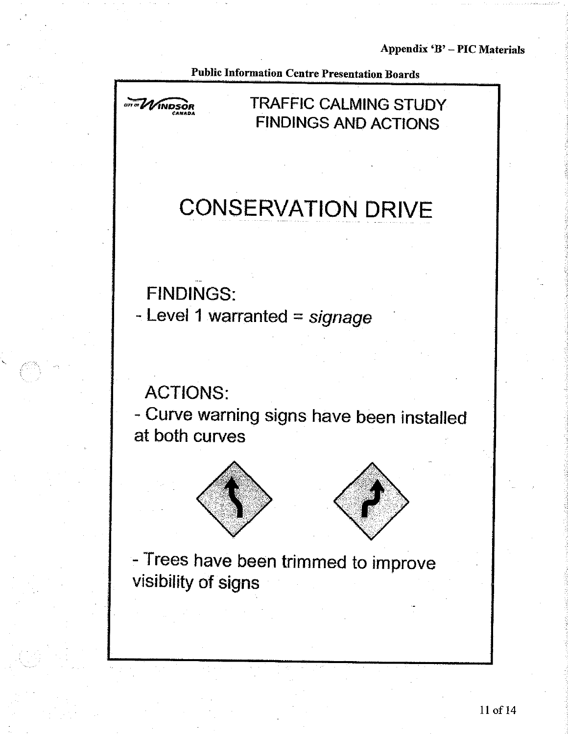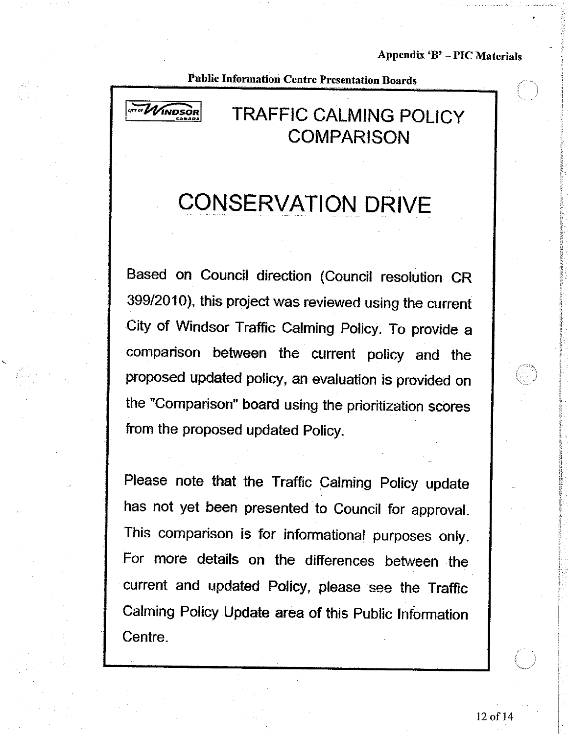# Public Information Centre Presentation Boards



# TRAFFIC CALMING POLICY **COMPARISON**

# CONSERVATION DRIVE

Based on Council direction (Council resolution CR 399/2010), this project was reviewed using the current City of Windsor Traffic Calming policy. To provide a comparison between the current policy and the proposed updated policy, an evaluation is provided on the "Comparison" board using the prioritization scores from the proposed updated Policy.

Please note that the Traffic Calming Policy update has not yet been presented to Council for approval. This comparison is for informational purposes only. For more details on the differences between the current and updated Policy, please see the Traffic Calming Policy Update area of this public lnformation Centre.

ll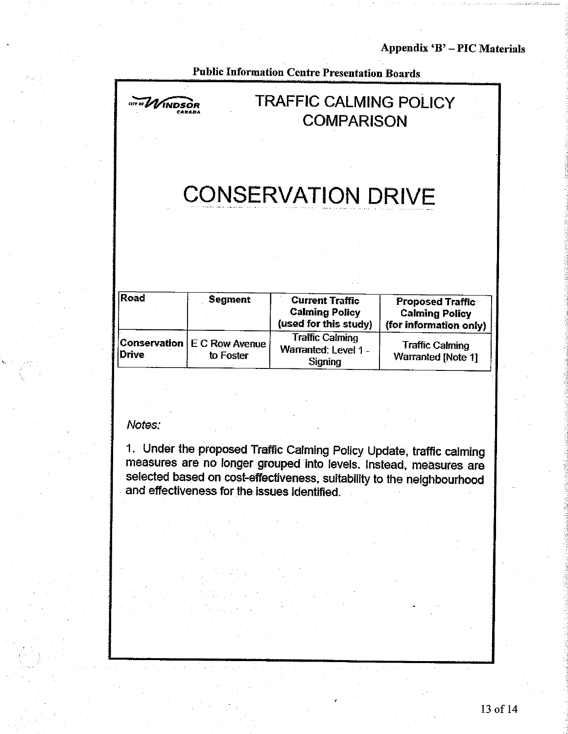# **Public Information Centre Presentation Boards**

# **TRAFFIC CALMING POLICY COMPARISON**

# **CONSERVATION DRIVE**

| Road          | <b>Segment</b>                             | <b>Current Traffic</b><br><b>Calming Policy</b><br>(used for this study) | <b>Proposed Traffic</b><br><b>Calming Policy</b><br>(for information only) |
|---------------|--------------------------------------------|--------------------------------------------------------------------------|----------------------------------------------------------------------------|
| <b>IDrive</b> | Conservation   E C Row Avenue<br>to Foster | <b>Traffic Calming</b><br>Warranted: Level 1 -<br>Signing                | <b>Traffic Calming</b><br><b>Warranted [Note 1]</b>                        |

#### Notes:

**GIT OF WINDSOR** 

1. Under the proposed Traffic Calming Policy Update, traffic calming measures are no longer grouped into levels. Instead, measures are selected based on cost-effectiveness, suitability to the neighbourhood and effectiveness for the issues identified.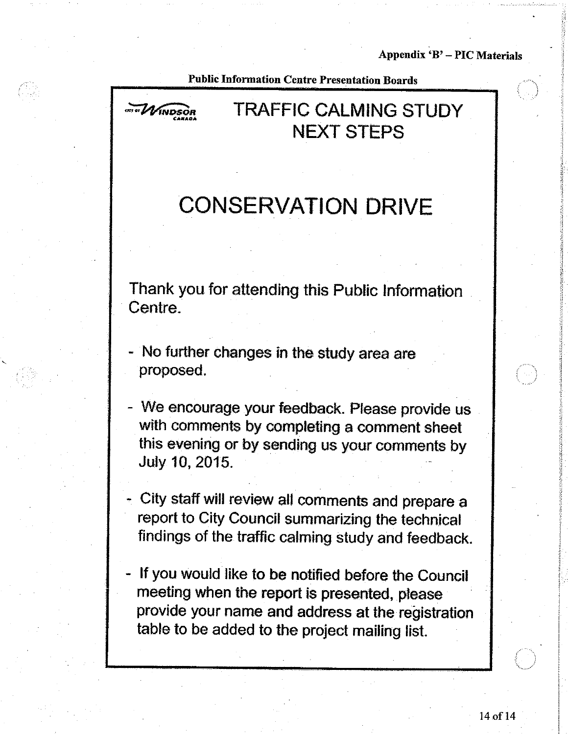

# TIN TRAFFIC CALMING STUDY NEXT STEPS

# **CONSERVATION DRIVE**

Public Informafion Centre Presentation Boards

Thank you for attending this Public lnformation Centre<sup>-</sup>

- No further changes in the study area are proposed.
- We encourage your feedback. Please provide us with comments by completing a comment sheet this evening or by sending us your comments by July 10, 2015.
- City staff will review all comments and prepare a report to City Council summarizing the technical findings of the traffic calming study and feedback.
- If you would like to be notified before the Council meeting when the report is presented, please provide your name and address at the registration table to be added to the project mailing list.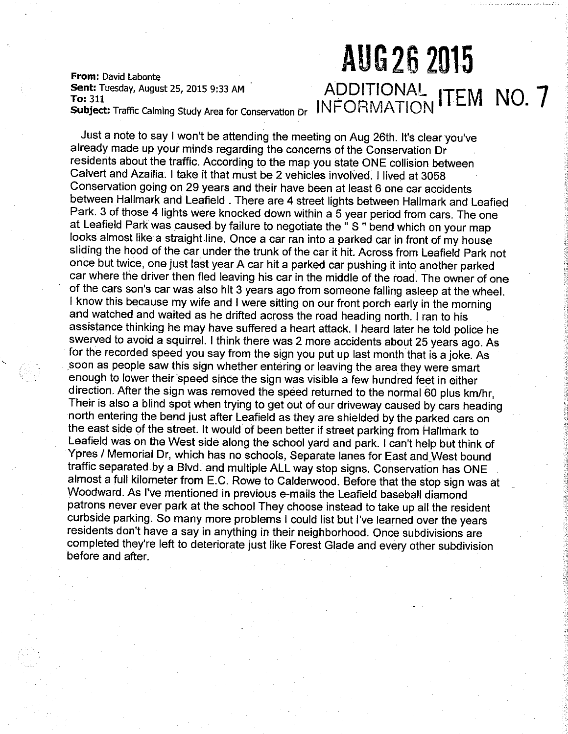# From: David Labonte  $\overline{A} \cup G$  26 2015 Sent: Tuesday, August 25, 2015 9:33 AM *ADDITIONAL*<br>To: 311<br>Subject: Traffic Calming Study Area for Conservation Dr. INFORMATION ITEM NO. 7

;r

Just a note to say I won't be attending the meeting on Aug 26th. It's clear you've already made up your minds regarding the concerns of the Conservation Dr residents about the traffic. According to the map you state oNE collision between Calvert and Azailia. I take it that must be 2 vehicles involved. I lived at 3058 conservation going on 29 years and their have been at least 6 one car accidents between Hallmark and Leafield . There are 4 street lights between Hallmark and Leafied Park. 3 of those 4 lights were knocked down within a 5 year period from cars. The one at Leafield Park was caused by failure to negotiate the "S" bend which on your map looks almost like a straight line. Once a car ran into a parked car in front of my house sliding the hood of the car under the trunk of the car it hit. Across from Leafield Park not once but twice, one just last year A car hit a parked car pushing it into another parked car where the driver then fled leaving his car in the middle of the road. The owner of one of the cars son's car was also hit 3 years ago from someone falling asleep at the wheel. I know this because my wife and I were sitting on our front porch early in the morning and watched and waited as he drifted across the road heading north. I ran to his assistance thinking he may have suffered a heart attack. I heard later he told police he swerved to avoid a squirrel. I think there was 2 more accidents about 25 years ago. As for the recorded speed you say from the sign you put up last month that is a joke. As soon as people saw this sign whether entering or leaving the area they were smart enough to lower their'speed since the sign was visible a few hundred feet in either direction. After the sign was removed the speed returned to the normal 60 plus km/hr, Their is also a blind spot when trying to get out of our driveway caused by cars heading north entering the bend just after Leafield as they are shielded by the parked cars on the east side of the street. lt would of been better if street parking from Hallmark to Leafield was on the west side along the school yard and park. I can't help but think of Ypres / Memorial Dr, which has no schools, separate lanes for East and west bound traffic separated by a Blvd. and multiple ALL way stop signs. conservation has oNE almost a full kilometer from E.c. Rowe to calderwood. Before that the stop sign was at woodward. As I've mentioned in previous e-mails the Leafield baseball diamond patrons never ever park at the school They choose instead to take up all the resident curbside parking. so many more problems I could list but I've learned over the years residents don't have a say in anything in their neighborhood. once subdivisions are completed they're left to deteriorate just like Forest Glade and every other subdivision before and after.